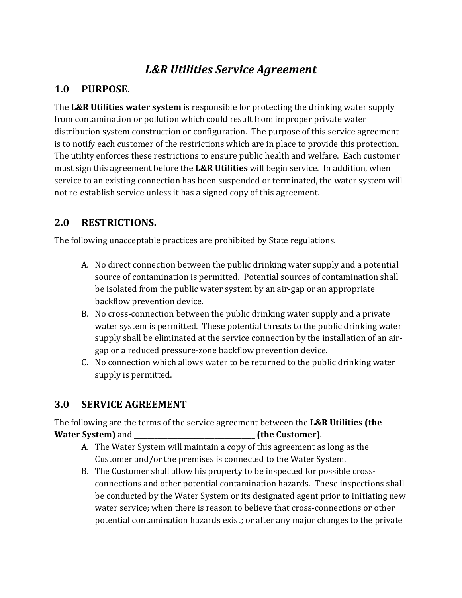# *L&R Utilities Service Agreement*

## **1.0 PURPOSE.**

The **L&R Utilities water system** is responsible for protecting the drinking water supply from contamination or pollution which could result from improper private water distribution system construction or configuration. The purpose of this service agreement is to notify each customer of the restrictions which are in place to provide this protection. The utility enforces these restrictions to ensure public health and welfare. Each customer must sign this agreement before the **L&R Utilities** will begin service. In addition, when service to an existing connection has been suspended or terminated, the water system will not re-establish service unless it has a signed copy of this agreement.

### **2.0 RESTRICTIONS.**

The following unacceptable practices are prohibited by State regulations.

- A. No direct connection between the public drinking water supply and a potential source of contamination is permitted. Potential sources of contamination shall be isolated from the public water system by an air-gap or an appropriate backflow prevention device.
- B. No cross-connection between the public drinking water supply and a private water system is permitted. These potential threats to the public drinking water supply shall be eliminated at the service connection by the installation of an airgap or a reduced pressure-zone backflow prevention device.
- C. No connection which allows water to be returned to the public drinking water supply is permitted.

### **3.0 SERVICE AGREEMENT**

The following are the terms of the service agreement between the **L&R Utilities (the Water System)** and **\_\_\_\_\_\_\_\_\_\_\_\_\_\_\_\_\_\_\_\_\_\_\_\_\_\_\_\_\_\_\_\_\_\_\_\_ (the Customer)**.

- A. The Water System will maintain a copy of this agreement as long as the Customer and/or the premises is connected to the Water System.
- B. The Customer shall allow his property to be inspected for possible crossconnections and other potential contamination hazards. These inspections shall be conducted by the Water System or its designated agent prior to initiating new water service; when there is reason to believe that cross-connections or other potential contamination hazards exist; or after any major changes to the private